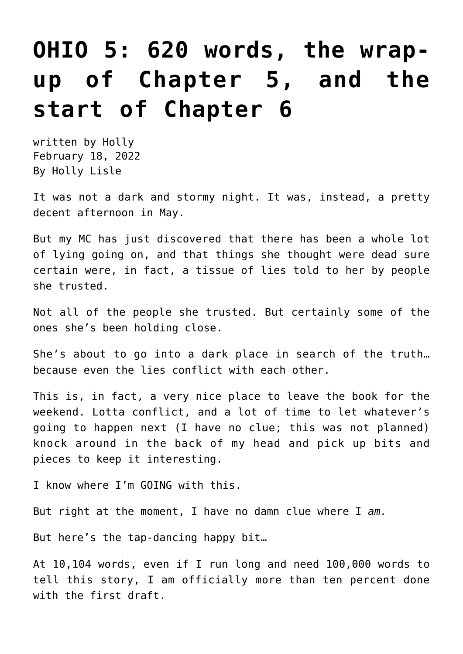## **[OHIO 5: 620 words, the wrap](https://hollylisle.com/ohio-5-620-words-the-wrap-up-of-chapter-5-and-the-start-of-chapter-6/)[up of Chapter 5, and the](https://hollylisle.com/ohio-5-620-words-the-wrap-up-of-chapter-5-and-the-start-of-chapter-6/) [start of Chapter 6](https://hollylisle.com/ohio-5-620-words-the-wrap-up-of-chapter-5-and-the-start-of-chapter-6/)**

written by Holly February 18, 2022 [By Holly Lisle](https://hollylisle.com)

It was not a dark and stormy night. It was, instead, a pretty decent afternoon in May.

But my MC has just discovered that there has been a whole lot of lying going on, and that things she thought were dead sure certain were, in fact, a tissue of lies told to her by people she trusted.

Not all of the people she trusted. But certainly some of the ones she's been holding close.

She's about to go into a dark place in search of the truth… because even the lies conflict with each other.

This is, in fact, a very nice place to leave the book for the weekend. Lotta conflict, and a lot of time to let whatever's going to happen next (I have no clue; this was not planned) knock around in the back of my head and pick up bits and pieces to keep it interesting.

I know where I'm GOING with this.

But right at the moment, I have no damn clue where I *am.*

But here's the tap-dancing happy bit…

At 10,104 words, even if I run long and need 100,000 words to tell this story, I am officially more than ten percent done with the first draft.